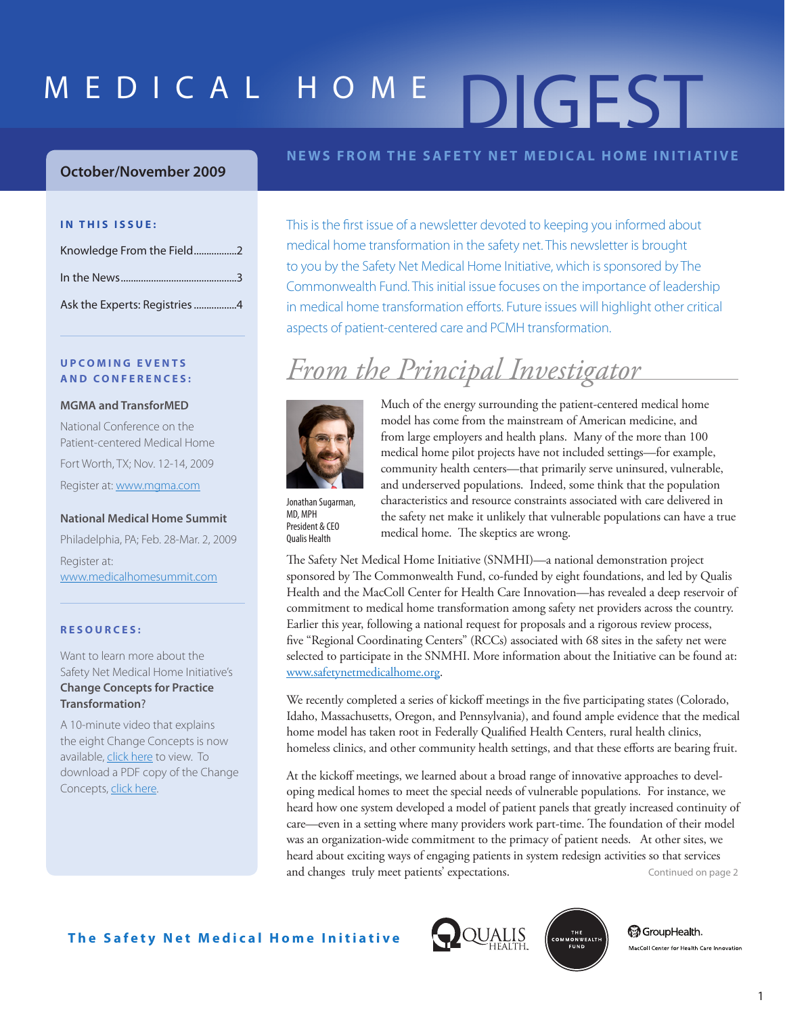# MEDICAL HOME DIGEST

### **October/November 2009**

### **IN THIS ISSUE:**

| Knowledge From the Field2    |  |
|------------------------------|--|
|                              |  |
| Ask the Experts: Registries4 |  |

### **U P C O M I N G E V E N T S A N D C O N F E R E N C E S :**

#### **MGMA and TransforMED**

National Conference on the Patient-centered Medical Home Fort Worth, TX; Nov. 12-14, 2009 Register at: www.mgma.com

#### **National Medical Home Summit**

Philadelphia, PA; Feb. 28-Mar. 2, 2009 Register at: www.medicalhomesummit.com

### **R E S O U R C E S :**

Want to learn more about the Safety Net Medical Home Initiative's **Change Concepts for Practice Transformation**?

A 10-minute video that explains the eight Change Concepts is now available, [click here](http://www.safetynetmedicalhome.org/change-concepts) to view. To download a PDF copy of the Change Concepts[, click here.](http://www.safetynetmedicalhome.org/sites/default/files/Change-Concepts-for-Practice-Transformation.pdf) 

### **NEWS FROM THE SAFETY NET MEDICAL HOME INITIATIVE**

This is the first issue of a newsletter devoted to keeping you informed about medical home transformation in the safety net. This newsletter is brought to you by the Safety Net Medical Home Initiative, which is sponsored by The Commonwealth Fund. This initial issue focuses on the importance of leadership in medical home transformation efforts. Future issues will highlight other critical aspects of patient-centered care and PCMH transformation.

### *From the Principal Investigator*



Much of the energy surrounding the patient-centered medical home model has come from the mainstream of American medicine, and from large employers and health plans. Many of the more than 100 medical home pilot projects have not included settings—for example, community health centers—that primarily serve uninsured, vulnerable, and underserved populations. Indeed, some think that the population characteristics and resource constraints associated with care delivered in the safety net make it unlikely that vulnerable populations can have a true medical home. The skeptics are wrong.

Jonathan Sugarman, MD, MPH President & CEO Qualis Health

The Safety Net Medical Home Initiative (SNMHI)—a national demonstration project sponsored by The Commonwealth Fund, co-funded by eight foundations, and led by Qualis Health and the MacColl Center for Health Care Innovation—has revealed a deep reservoir of commitment to medical home transformation among safety net providers across the country. Earlier this year, following a national request for proposals and a rigorous review process, five "Regional Coordinating Centers" (RCCs) associated with 68 sites in the safety net were selected to participate in the SNMHI. More information about the Initiative can be found at: www.safetynetmedicalhome.org.

We recently completed a series of kickoff meetings in the five participating states (Colorado, Idaho, Massachusetts, Oregon, and Pennsylvania), and found ample evidence that the medical home model has taken root in Federally Qualified Health Centers, rural health clinics, homeless clinics, and other community health settings, and that these efforts are bearing fruit.

At the kickoff meetings, we learned about a broad range of innovative approaches to developing medical homes to meet the special needs of vulnerable populations. For instance, we heard how one system developed a model of patient panels that greatly increased continuity of care—even in a setting where many providers work part-time. The foundation of their model was an organization-wide commitment to the primacy of patient needs. At other sites, we heard about exciting ways of engaging patients in system redesign activities so that services and changes truly meet patients' expectations. Continued on page 2





**@**GroupHealth. MacColl Center for Health Care Innovation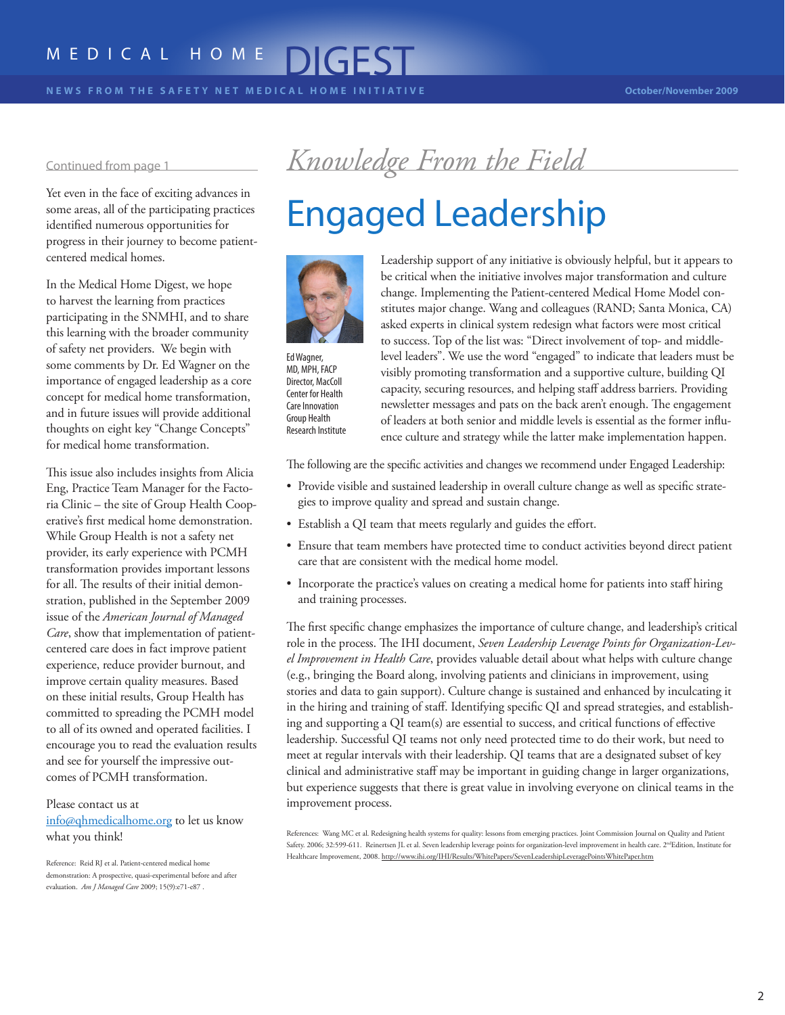### <span id="page-1-0"></span>MEDICAL HOME DIGEST

some areas, all of the participating practices identified numerous opportunities for progress in their journey to become patientcentered medical homes.

In the Medical Home Digest, we hope to harvest the learning from practices participating in the SNMHI, and to share this learning with the broader community of safety net providers. We begin with some comments by Dr. Ed Wagner on the importance of engaged leadership as a core concept for medical home transformation, and in future issues will provide additional thoughts on eight key "Change Concepts" for medical home transformation.

This issue also includes insights from Alicia Eng, Practice Team Manager for the Factoria Clinic – the site of Group Health Cooperative's first medical home demonstration. While Group Health is not a safety net provider, its early experience with PCMH transformation provides important lessons for all. The results of their initial demonstration, published in the September 2009 issue of the *American Journal of Managed Care*, show that implementation of patientcentered care does in fact improve patient experience, reduce provider burnout, and improve certain quality measures. Based on these initial results, Group Health has committed to spreading the PCMH model to all of its owned and operated facilities. I encourage you to read the evaluation results and see for yourself the impressive outcomes of PCMH transformation.

### Please contact us at

info@qhmedicalhome.org to let us know what you think!

### Continued from page 1 *Knowledge From the Field*

## Yet even in the face of exciting advances in<br>some areas, all of the participating practices<br>identified numerous opportunities for<br>



Ed Wagner, MD, MPH, FACP Director, MacColl Center for Health Care Innovation Group Health Research Institute

Leadership support of any initiative is obviously helpful, but it appears to be critical when the initiative involves major transformation and culture change. Implementing the Patient-centered Medical Home Model constitutes major change. Wang and colleagues (RAND; Santa Monica, CA) asked experts in clinical system redesign what factors were most critical to success. Top of the list was: "Direct involvement of top- and middlelevel leaders". We use the word "engaged" to indicate that leaders must be visibly promoting transformation and a supportive culture, building QI capacity, securing resources, and helping staff address barriers. Providing newsletter messages and pats on the back aren't enough. The engagement of leaders at both senior and middle levels is essential as the former influence culture and strategy while the latter make implementation happen.

The following are the specific activities and changes we recommend under Engaged Leadership:

- Provide visible and sustained leadership in overall culture change as well as specific strategies to improve quality and spread and sustain change.
- Establish a QI team that meets regularly and guides the effort.
- Ensure that team members have protected time to conduct activities beyond direct patient care that are consistent with the medical home model.
- Incorporate the practice's values on creating a medical home for patients into staff hiring and training processes.

The first specific change emphasizes the importance of culture change, and leadership's critical role in the process. The IHI document, *Seven Leadership Leverage Points for Organization-Level Improvement in Health Care*, provides valuable detail about what helps with culture change (e.g., bringing the Board along, involving patients and clinicians in improvement, using stories and data to gain support). Culture change is sustained and enhanced by inculcating it in the hiring and training of staff. Identifying specific QI and spread strategies, and establishing and supporting a QI team(s) are essential to success, and critical functions of effective leadership. Successful QI teams not only need protected time to do their work, but need to meet at regular intervals with their leadership. QI teams that are a designated subset of key clinical and administrative staff may be important in guiding change in larger organizations, but experience suggests that there is great value in involving everyone on clinical teams in the improvement process.

References: Wang MC et al. Redesigning health systems for quality: lessons from emerging practices. Joint Commission Journal on Quality and Patient Safety. 2006; 32:599-611. Reinertsen JL et al. Seven leadership leverage points for organization-level improvement in health care. 2<sup>nd</sup>Edition, Institute for Healthcare Improvement, 2008. http://www.ihi.org/IHI/Results/WhitePapers/SevenLeadershipLeveragePointsWhitePaper.htm

Reference: Reid RJ et al. Patient-centered medical home demonstration: A prospective, quasi-experimental before and after evaluation. *Am J Managed Care* 2009; 15(9):e71-e87 .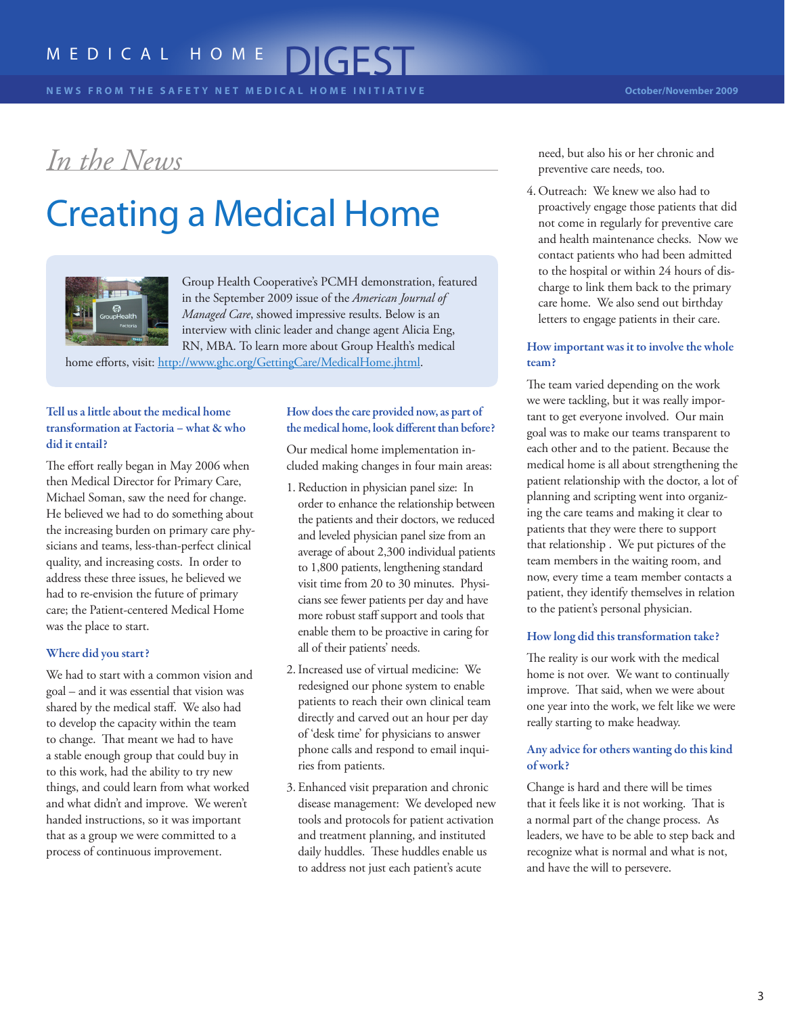### <span id="page-2-0"></span>*In the News*

## Creating a Medical Home



Group Health Cooperative's PCMH demonstration, featured in the September 2009 issue of the *American Journal of Managed Care*, showed impressive results. Below is an interview with clinic leader and change agent Alicia Eng, RN, MBA. To learn more about Group Health's medical

home efforts, visit: http://www.ghc.org/GettingCare/MedicalHome.jhtml.

### Tell us a little about the medical home transformation at Factoria – what & who did it entail?

The effort really began in May 2006 when then Medical Director for Primary Care, Michael Soman, saw the need for change. He believed we had to do something about the increasing burden on primary care physicians and teams, less-than-perfect clinical quality, and increasing costs. In order to address these three issues, he believed we had to re-envision the future of primary care; the Patient-centered Medical Home was the place to start.

### Where did you start?

We had to start with a common vision and goal – and it was essential that vision was shared by the medical staff. We also had to develop the capacity within the team to change. That meant we had to have a stable enough group that could buy in to this work, had the ability to try new things, and could learn from what worked and what didn't and improve. We weren't handed instructions, so it was important that as a group we were committed to a process of continuous improvement.

### How does the care provided now, as part of the medical home, look different than before?

Our medical home implementation included making changes in four main areas:

- 1. Reduction in physician panel size: In order to enhance the relationship between the patients and their doctors, we reduced and leveled physician panel size from an average of about 2,300 individual patients to 1,800 patients, lengthening standard visit time from 20 to 30 minutes. Physicians see fewer patients per day and have more robust staff support and tools that enable them to be proactive in caring for all of their patients' needs.
- 2.Increased use of virtual medicine: We redesigned our phone system to enable patients to reach their own clinical team directly and carved out an hour per day of 'desk time' for physicians to answer phone calls and respond to email inquiries from patients.
- 3. Enhanced visit preparation and chronic disease management: We developed new tools and protocols for patient activation and treatment planning, and instituted daily huddles. These huddles enable us to address not just each patient's acute

need, but also his or her chronic and preventive care needs, too.

4. Outreach: We knew we also had to proactively engage those patients that did not come in regularly for preventive care and health maintenance checks. Now we contact patients who had been admitted to the hospital or within 24 hours of discharge to link them back to the primary care home. We also send out birthday letters to engage patients in their care.

### How important was it to involve the whole team?

The team varied depending on the work we were tackling, but it was really important to get everyone involved. Our main goal was to make our teams transparent to each other and to the patient. Because the medical home is all about strengthening the patient relationship with the doctor, a lot of planning and scripting went into organizing the care teams and making it clear to patients that they were there to support that relationship . We put pictures of the team members in the waiting room, and now, every time a team member contacts a patient, they identify themselves in relation to the patient's personal physician.

### How long did this transformation take?

The reality is our work with the medical home is not over. We want to continually improve. That said, when we were about one year into the work, we felt like we were really starting to make headway.

### Any advice for others wanting do this kind of work?

Change is hard and there will be times that it feels like it is not working. That is a normal part of the change process. As leaders, we have to be able to step back and recognize what is normal and what is not, and have the will to persevere.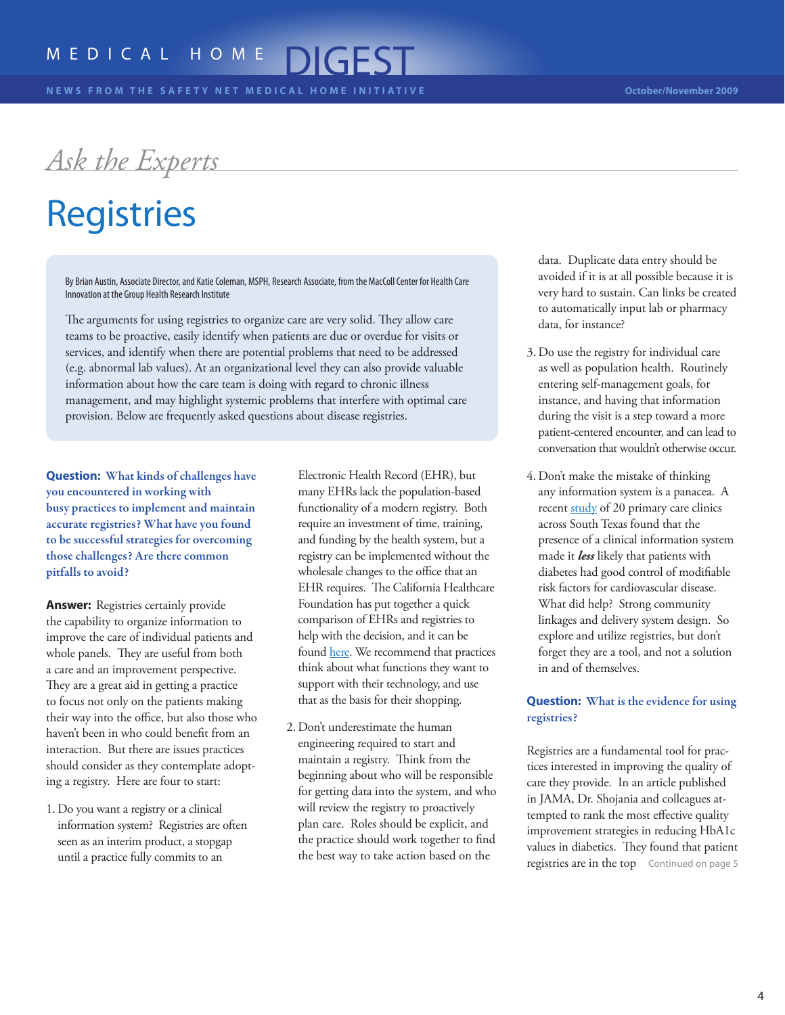<span id="page-3-0"></span>*Ask the Experts*

## Registries

By Brian Austin, Associate Director, and Katie Coleman, MSPH, Research Associate, from the MacColl Center for Health Care Innovation at the Group Health Research Institute

The arguments for using registries to organize care are very solid. They allow care teams to be proactive, easily identify when patients are due or overdue for visits or services, and identify when there are potential problems that need to be addressed (e.g. abnormal lab values). At an organizational level they can also provide valuable information about how the care team is doing with regard to chronic illness management, and may highlight systemic problems that interfere with optimal care provision. Below are frequently asked questions about disease registries.

**Question:** What kinds of challenges have you encountered in working with busy practices to implement and maintain accurate registries? What have you found to be successful strategies for overcoming those challenges? Are there common pitfalls to avoid?

**Answer:** Registries certainly provide the capability to organize information to improve the care of individual patients and whole panels. They are useful from both a care and an improvement perspective. They are a great aid in getting a practice to focus not only on the patients making their way into the office, but also those who haven't been in who could benefit from an interaction. But there are issues practices should consider as they contemplate adopting a registry. Here are four to start:

1. Do you want a registry or a clinical information system? Registries are often seen as an interim product, a stopgap until a practice fully commits to an

Electronic Health Record (EHR), but many EHRs lack the population-based functionality of a modern registry. Both require an investment of time, training, and funding by the health system, but a registry can be implemented without the wholesale changes to the office that an EHR requires. The California Healthcare Foundation has put together a quick comparison of EHRs and registries to help with the decision, and it can be found [here.](http://www.chcf.org/documents/chronicdisease/EHRvsCDMS-FactSheet.pdf) We recommend that practices think about what functions they want to support with their technology, and use that as the basis for their shopping.

2. Don't underestimate the human engineering required to start and maintain a registry. Think from the beginning about who will be responsible for getting data into the system, and who will review the registry to proactively plan care. Roles should be explicit, and the practice should work together to find the best way to take action based on the

data. Duplicate data entry should be avoided if it is at all possible because it is very hard to sustain. Can links be created to automatically input lab or pharmacy data, for instance?

- 3. Do use the registry for individual care as well as population health. Routinely entering self-management goals, for instance, and having that information during the visit is a step toward a more patient-centered encounter, and can lead to conversation that wouldn't otherwise occur.
- 4. Don't make the mistake of thinking any information system is a panacea. A recent [study](http://www.ncbi.nlm.nih.gov/pubmed/19326804?ordinalpos=3&itool=EntrezSystem2.PEntrez.Pubmed.Pubmed_ResultsPanel.Pubmed_DefaultReportPanel.Pubmed_RVDocSum) of 20 primary care clinics across South Texas found that the presence of a clinical information system made it *less* likely that patients with diabetes had good control of modifiable risk factors for cardiovascular disease. What did help? Strong community linkages and delivery system design. So explore and utilize registries, but don't forget they are a tool, and not a solution in and of themselves.

### **Question:** What is the evidence for using registries?

Registries are a fundamental tool for practices interested in improving the quality of care they provide. In an article published in JAMA, Dr. Shojania and colleagues attempted to rank the most effective quality improvement strategies in reducing HbA1c values in diabetics. They found that patient registries are in the top Continued on page 5